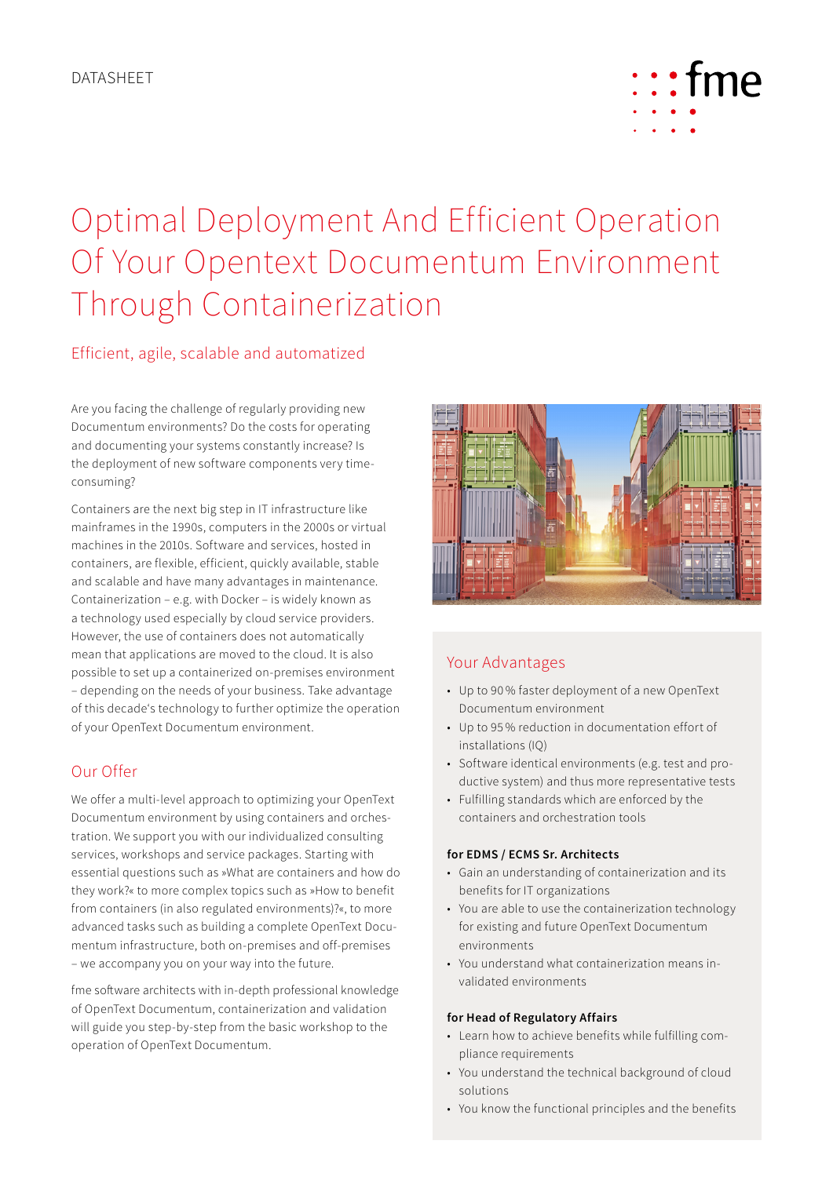

# Optimal Deployment And Efficient Operation Of Your Opentext Documentum Environment Through Containerization

# Efficient, agile, scalable and automatized

Are you facing the challenge of regularly providing new Documentum environments? Do the costs for operating and documenting your systems constantly increase? Is the deployment of new software components very timeconsuming?

Containers are the next big step in IT infrastructure like mainframes in the 1990s, computers in the 2000s or virtual machines in the 2010s. Software and services, hosted in containers, are flexible, efficient, quickly available, stable and scalable and have many advantages in maintenance. Containerization – e.g. with Docker – is widely known as a technology used especially by cloud service providers. However, the use of containers does not automatically mean that applications are moved to the cloud. It is also possible to set up a containerized on-premises environment – depending on the needs of your business. Take advantage of this decade's technology to further optimize the operation of your OpenText Documentum environment.

# Our Offer

We offer a multi-level approach to optimizing your OpenText Documentum environment by using containers and orchestration. We support you with our individualized consulting services, workshops and service packages. Starting with essential questions such as »What are containers and how do they work?« to more complex topics such as »How to benefit from containers (in also regulated environments)?«, to more advanced tasks such as building a complete OpenText Documentum infrastructure, both on-premises and off-premises – we accompany you on your way into the future.

fme software architects with in-depth professional knowledge of OpenText Documentum, containerization and validation will guide you step-by-step from the basic workshop to the operation of OpenText Documentum.



# Your Advantages

- Up to 90 % faster deployment of a new OpenText Documentum environment
- Up to 95 % reduction in documentation effort of installations (IQ)
- Software identical environments (e.g. test and productive system) and thus more representative tests
- Fulfilling standards which are enforced by the containers and orchestration tools

## **for EDMS / ECMS Sr. Architects**

- Gain an understanding of containerization and its benefits for IT organizations
- You are able to use the containerization technology for existing and future OpenText Documentum environments
- You understand what containerization means invalidated environments

## **for Head of Regulatory Affairs**

- Learn how to achieve benefits while fulfilling compliance requirements
- You understand the technical background of cloud solutions
- You know the functional principles and the benefits